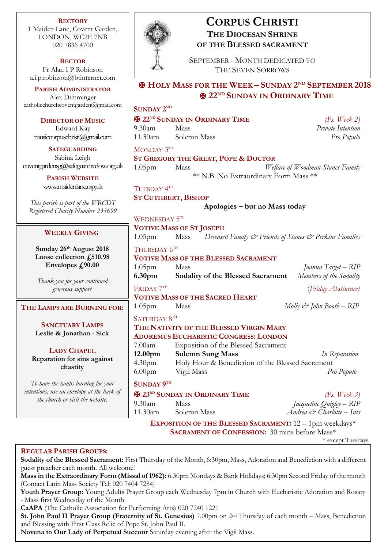**RECTORY** 1 Maiden Lane, Covent Garden, LONDON, WC2E 7NB 020 7836 4700

**RECTOR** Fr Alan I P Robinson [a.i.p.robinson@btinternet.com](mailto:a.i.p.robinson@btinternet.com)

**PARISH ADMINISTRATOR** Alex Dimminger [catholicchurchcoventgarden@gmail.com](mailto:catholicchurchcoventgarden@gmail.com)

**DIRECTOR OF MUSIC** Edward Kay musiccorpuschristi@gmail.com

**SAFEGUARDING** Sabina Leigh [coventgardensg@safeguardrcdow.org.uk](mailto:coventgardensg@safeguardrcdow.org.uk)

> **PARISH WEBSITE** [www.maidenlane.org.uk](http://www.maidenlane.org.uk/)

*This parish is part of the WRCDT Registered Charity Number 233699*

# **WEEKLY GIVING**

**Sunday 26th August 2018 Loose collection £510.98 Envelopes £90.00**

*Thank you for your continued generous support*

**THE LAMPS ARE BURNING FOR:**

**SANCTUARY LAMPS Leslie & Jonathan - Sick**

**LADY CHAPEL Reparation for sins against chastity**

*To have the lamps burning for your intentions, use an envelope at the back of the church or visit the website.*



# **CORPUS CHRISTI THE DIOCESAN SHRINE OF THE BLESSED SACRAMENT**

SEPTEMBER - MONTH DEDICATED TO THE SEVEN SORROWS

✠ **HOLY MASS FOR THE WEEK – SUNDAY 2 ND SEPTEMBER 2018** ✠ **22ND SUNDAY IN ORDINARY TIME**

## **SUNDAY**  $2^{ND}$

✠ **22ND SUNDAY IN ORDINARY TIME** *(Ps. Week 2)* 9.30am Mass *Private Intention* 11.30am Solemn Mass *Pro Populo* MONDAY 3<sup>rd</sup> **ST GREGORY THE GREAT, POPE & DOCTOR** 1.05pm Mass *Welfare of Woodman-Stanes Family* \*\* N.B. No Extraordinary Form Mass \*\* TUESDAY  $4^{\text{\tiny{TH}}}$ **ST CUTHBERT, BISHOP Apologies – but no Mass today** WEDNESDAY  $5^{\text{\tiny{TH}}}$ 

# **VOTIVE MASS OF ST JOSEPH**

1.05pm Mass *Deceased Family & Friends of Stanes & Perkins Families* THURSDAY  $6^{TH}$ 

# **VOTIVE MASS OF THE BLESSED SACRAMENT**

1.05pm Mass *Joanna Target – RIP* **6.30pm Sodality of the Blessed Sacrament** *Members of the Sodality* FRIDAY 7TH (*Friday Abstinence)* **VOTIVE MASS OF THE SACRED HEART**

# 1.05pm Mass *Molly & John Booth – RIP*

SATURDAY  $8^{\text{\tiny{TH}}}$ 

# **THE NATIVITY OF THE BLESSED VIRGIN MARY ADOREMUS EUCHARISTIC CONGRESS: LONDON** 7.00am Exposition of the Blessed Sacrament **12.00pm Solemn Sung Mass** *In Reparation* 4.30pm Holy Hour & Benediction of the Blessed Sacrament 6.00pm Vigil Mass *Pro Populo*

# **SUNDAY 9 TH**

✠ **23RD SUNDAY IN ORDINARY TIME** *(Ps. Week 3)* 9.30am Mass *Jacqueline Quigley – RIP* 11.30am Solemn Mass *Andrea & Charlotte – Ints*

**EXPOSITION OF THE BLESSED SACRAMENT:** 12 – 1pm weekdays\* **SACRAMENT OF CONFESSION:** 30 mins before Mass\*

\* except Tuesdays

# **REGULAR PARISH GROUPS:**

**Sodality of the Blessed Sacrament:** First Thursday of the Month, 6:30pm, Mass, Adoration and Benediction with a different guest preacher each month. All welcome!

**Mass in the Extraordinary Form (Missal of 1962):** 6.30pm Mondays & Bank Holidays; 6:30pm Second Friday of the month (Contact Latin Mass Society Tel: 020 7404 7284)

**Youth Prayer Group:** Young Adults Prayer Group each Wednesday 7pm in Church with Eucharistic Adoration and Rosary - Mass first Wednesday of the Month

**CaAPA** (The Catholic Association for Performing Arts) 020 7240 1221

**St. John Paul II Prayer Group (Fraternity of St. Genesius)** 7.00pm on 2nd Thursday of each month – Mass, Benediction and Blessing with First Class Relic of Pope St. John Paul II.

**Novena to Our Lady of Perpetual Succour** Saturday evening after the Vigil Mass.